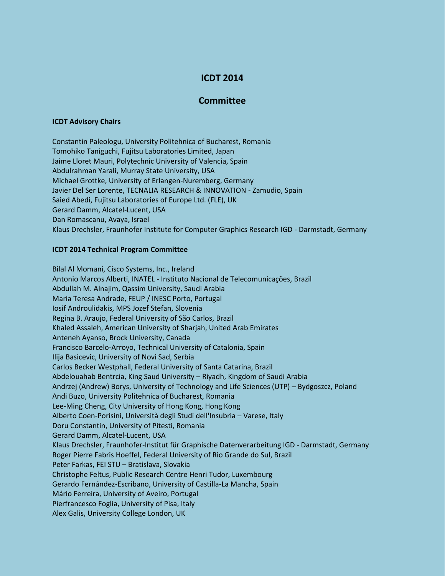## **ICDT 2014**

## **Committee**

## **ICDT Advisory Chairs**

Constantin Paleologu, University Politehnica of Bucharest, Romania Tomohiko Taniguchi, Fujitsu Laboratories Limited, Japan Jaime Lloret Mauri, Polytechnic University of Valencia, Spain Abdulrahman Yarali, Murray State University, USA Michael Grottke, University of Erlangen-Nuremberg, Germany Javier Del Ser Lorente, TECNALIA RESEARCH & INNOVATION - Zamudio, Spain Saied Abedi, Fujitsu Laboratories of Europe Ltd. (FLE), UK Gerard Damm, Alcatel-Lucent, USA Dan Romascanu, Avaya, Israel Klaus Drechsler, Fraunhofer Institute for Computer Graphics Research IGD - Darmstadt, Germany

## **ICDT 2014 Technical Program Committee**

Bilal Al Momani, Cisco Systems, Inc., Ireland Antonio Marcos Alberti, INATEL - Instituto Nacional de Telecomunicações, Brazil Abdullah M. Alnajim, Qassim University, Saudi Arabia Maria Teresa Andrade, FEUP / INESC Porto, Portugal Iosif Androulidakis, MPS Jozef Stefan, Slovenia Regina B. Araujo, Federal University of São Carlos, Brazil Khaled Assaleh, American University of Sharjah, United Arab Emirates Anteneh Ayanso, Brock University, Canada Francisco Barcelo-Arroyo, Technical University of Catalonia, Spain Ilija Basicevic, University of Novi Sad, Serbia Carlos Becker Westphall, Federal University of Santa Catarina, Brazil Abdelouahab Bentrcia, King Saud University – Riyadh, Kingdom of Saudi Arabia Andrzej (Andrew) Borys, University of Technology and Life Sciences (UTP) – Bydgoszcz, Poland Andi Buzo, University Politehnica of Bucharest, Romania Lee-Ming Cheng, City University of Hong Kong, Hong Kong Alberto Coen-Porisini, Università degli Studi dell'Insubria – Varese, Italy Doru Constantin, University of Pitesti, Romania Gerard Damm, Alcatel-Lucent, USA Klaus Drechsler, Fraunhofer-Institut für Graphische Datenverarbeitung IGD - Darmstadt, Germany Roger Pierre Fabris Hoeffel, Federal University of Rio Grande do Sul, Brazil Peter Farkas, FEI STU – Bratislava, Slovakia Christophe Feltus, Public Research Centre Henri Tudor, Luxembourg Gerardo Fernández-Escribano, University of Castilla-La Mancha, Spain Mário Ferreira, University of Aveiro, Portugal Pierfrancesco Foglia, University of Pisa, Italy Alex Galis, University College London, UK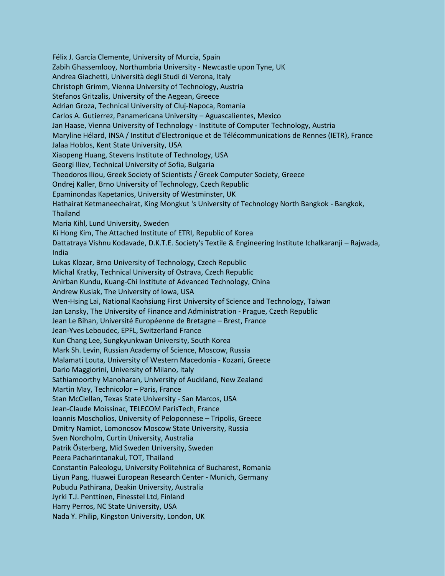Félix J. García Clemente, University of Murcia, Spain Zabih Ghassemlooy, Northumbria University - Newcastle upon Tyne, UK Andrea Giachetti, Università degli Studi di Verona, Italy Christoph Grimm, Vienna University of Technology, Austria Stefanos Gritzalis, University of the Aegean, Greece Adrian Groza, Technical University of Cluj-Napoca, Romania Carlos A. Gutierrez, Panamericana University – Aguascalientes, Mexico Jan Haase, Vienna University of Technology - Institute of Computer Technology, Austria Maryline Hélard, INSA / Institut d'Electronique et de Télécommunications de Rennes (IETR), France Jalaa Hoblos, Kent State University, USA Xiaopeng Huang, Stevens Institute of Technology, USA Georgi Iliev, Technical University of Sofia, Bulgaria Theodoros Iliou, Greek Society of Scientists / Greek Computer Society, Greece Ondrej Kaller, Brno University of Technology, Czech Republic Epaminondas Kapetanios, University of Westminster, UK Hathairat Ketmaneechairat, King Mongkut 's University of Technology North Bangkok - Bangkok, Thailand Maria Kihl, Lund University, Sweden Ki Hong Kim, The Attached Institute of ETRI, Republic of Korea Dattatraya Vishnu Kodavade, D.K.T.E. Society's Textile & Engineering Institute Ichalkaranji – Rajwada, India Lukas Klozar, Brno University of Technology, Czech Republic Michal Kratky, Technical University of Ostrava, Czech Republic Anirban Kundu, Kuang-Chi Institute of Advanced Technology, China Andrew Kusiak, The University of Iowa, USA Wen-Hsing Lai, National Kaohsiung First University of Science and Technology, Taiwan Jan Lansky, The University of Finance and Administration - Prague, Czech Republic Jean Le Bihan, Université Européenne de Bretagne – Brest, France Jean-Yves Leboudec, EPFL, Switzerland France Kun Chang Lee, Sungkyunkwan University, South Korea Mark Sh. Levin, Russian Academy of Science, Moscow, Russia Malamati Louta, University of Western Macedonia - Kozani, Greece Dario Maggiorini, University of Milano, Italy Sathiamoorthy Manoharan, University of Auckland, New Zealand Martin May, Technicolor – Paris, France Stan McClellan, Texas State University - San Marcos, USA Jean-Claude Moissinac, TELECOM ParisTech, France Ioannis Moscholios, University of Peloponnese – Tripolis, Greece Dmitry Namiot, Lomonosov Moscow State University, Russia Sven Nordholm, Curtin University, Australia Patrik Österberg, Mid Sweden University, Sweden Peera Pacharintanakul, TOT, Thailand Constantin Paleologu, University Politehnica of Bucharest, Romania Liyun Pang, Huawei European Research Center - Munich, Germany Pubudu Pathirana, Deakin University, Australia Jyrki T.J. Penttinen, Finesstel Ltd, Finland Harry Perros, NC State University, USA Nada Y. Philip, Kingston University, London, UK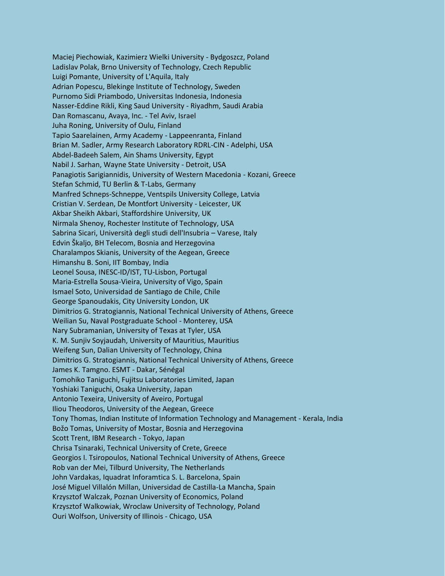Maciej Piechowiak, Kazimierz Wielki University - Bydgoszcz, Poland Ladislav Polak, Brno University of Technology, Czech Republic Luigi Pomante, University of L'Aquila, Italy Adrian Popescu, Blekinge Institute of Technology, Sweden Purnomo Sidi Priambodo, Universitas Indonesia, Indonesia Nasser-Eddine Rikli, King Saud University - Riyadhm, Saudi Arabia Dan Romascanu, Avaya, Inc. - Tel Aviv, Israel Juha Roning, University of Oulu, Finland Tapio Saarelainen, Army Academy - Lappeenranta, Finland Brian M. Sadler, Army Research Laboratory RDRL-CIN - Adelphi, USA Abdel-Badeeh Salem, Ain Shams University, Egypt Nabil J. Sarhan, Wayne State University - Detroit, USA Panagiotis Sarigiannidis, University of Western Macedonia - Kozani, Greece Stefan Schmid, TU Berlin & T-Labs, Germany Manfred Schneps-Schneppe, Ventspils University College, Latvia Cristian V. Serdean, De Montfort University - Leicester, UK Akbar Sheikh Akbari, Staffordshire University, UK Nirmala Shenoy, Rochester Institute of Technology, USA Sabrina Sicari, Università degli studi dell'Insubria – Varese, Italy Edvin Škaljo, BH Telecom, Bosnia and Herzegovina Charalampos Skianis, University of the Aegean, Greece Himanshu B. Soni, IIT Bombay, India Leonel Sousa, INESC-ID/IST, TU-Lisbon, Portugal Maria-Estrella Sousa-Vieira, University of Vigo, Spain Ismael Soto, Universidad de Santiago de Chile, Chile George Spanoudakis, City University London, UK Dimitrios G. Stratogiannis, National Technical University of Athens, Greece Weilian Su, Naval Postgraduate School - Monterey, USA Nary Subramanian, University of Texas at Tyler, USA K. M. Sunjiv Soyjaudah, University of Mauritius, Mauritius Weifeng Sun, Dalian University of Technology, China Dimitrios G. Stratogiannis, National Technical University of Athens, Greece James K. Tamgno. ESMT - Dakar, Sénégal Tomohiko Taniguchi, Fujitsu Laboratories Limited, Japan Yoshiaki Taniguchi, Osaka University, Japan Antonio Texeira, University of Aveiro, Portugal Iliou Theodoros, University of the Aegean, Greece Tony Thomas, Indian Institute of Information Technology and Management - Kerala, India Božo Tomas, University of Mostar, Bosnia and Herzegovina Scott Trent, IBM Research - Tokyo, Japan Chrisa Tsinaraki, Technical University of Crete, Greece Georgios I. Tsiropoulos, National Technical University of Athens, Greece Rob van der Mei, Tilburd University, The Netherlands John Vardakas, Iquadrat Inforamtica S. L. Barcelona, Spain José Miguel Villalón Millan, Universidad de Castilla-La Mancha, Spain Krzysztof Walczak, Poznan University of Economics, Poland Krzysztof Walkowiak, Wroclaw University of Technology, Poland Ouri Wolfson, University of Illinois - Chicago, USA